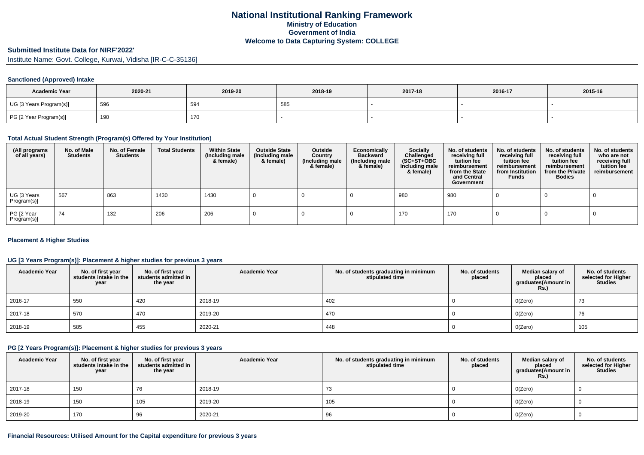### **Submitted Institute Data for NIRF'2022'**

Institute Name: Govt. College, Kurwai, Vidisha [IR-C-C-35136]

#### **Sanctioned (Approved) Intake**

| <b>Academic Year</b>    | 2020-21 | 2019-20 | 2018-19 | 2017-18 | 2016-17 | 2015-16 |
|-------------------------|---------|---------|---------|---------|---------|---------|
| UG [3 Years Program(s)] | 596     | 594     | 585     |         |         |         |
| PG [2 Year Program(s)]  | 190     | 170     |         |         |         |         |

### **Total Actual Student Strength (Program(s) Offered by Your Institution)**

| (All programs<br>of all years) | No. of Male<br><b>Students</b> | No. of Female<br>Students | <b>Total Students</b> | <b>Within State</b><br>(Including male<br>& female) | <b>Outside State</b><br>(Including male<br>& female) | Outside<br>Country<br>(Including male<br>& female) | Economically<br><b>Backward</b><br>(Including male<br>& female) | <b>Socially</b><br>Challenged<br>$(SC+ST+OBC)$<br>Including male<br>& female) | No. of students<br>receiving full<br>tuition fee<br>reimbursement<br>from the State<br>and Central<br>Government | No. of students<br>receiving full<br>tuition fee<br>reimbursement<br>from Institution<br><b>Funds</b> | No. of students<br>receiving full<br>tuition fee<br>reimbursement<br>from the Private<br><b>Bodies</b> | No. of students<br>who are not<br>receiving full<br>tuition fee<br>reimbursement |
|--------------------------------|--------------------------------|---------------------------|-----------------------|-----------------------------------------------------|------------------------------------------------------|----------------------------------------------------|-----------------------------------------------------------------|-------------------------------------------------------------------------------|------------------------------------------------------------------------------------------------------------------|-------------------------------------------------------------------------------------------------------|--------------------------------------------------------------------------------------------------------|----------------------------------------------------------------------------------|
| UG [3 Years<br>Program(s)]     | 567                            | 863                       | 1430                  | 1430                                                |                                                      |                                                    |                                                                 | 980                                                                           | 980                                                                                                              |                                                                                                       |                                                                                                        |                                                                                  |
| PG [2 Year<br>Program(s)]      | 74                             | 132                       | 206                   | 206                                                 |                                                      |                                                    |                                                                 | 170                                                                           | 170                                                                                                              |                                                                                                       |                                                                                                        |                                                                                  |

#### **Placement & Higher Studies**

### **UG [3 Years Program(s)]: Placement & higher studies for previous 3 years**

| <b>Academic Year</b> | No. of first year<br>students intake in the<br>year | No. of first year<br>students admitted in<br>the year | <b>Academic Year</b> | No. of students graduating in minimum<br>stipulated time | No. of students<br>placed | Median salary of<br>placed<br>graduates(Amount in<br><b>Rs.)</b> | No. of students<br>selected for Higher<br><b>Studies</b> |
|----------------------|-----------------------------------------------------|-------------------------------------------------------|----------------------|----------------------------------------------------------|---------------------------|------------------------------------------------------------------|----------------------------------------------------------|
| 2016-17              | 550                                                 | 420                                                   | 2018-19              | 402                                                      |                           | O(Zero)                                                          | 73                                                       |
| 2017-18              | 570                                                 | 470                                                   | 2019-20              | 470                                                      |                           | O(Zero)                                                          | 76                                                       |
| 2018-19              | 585                                                 | 455                                                   | 2020-21              | 448                                                      |                           | O(Zero)                                                          | 105                                                      |

### **PG [2 Years Program(s)]: Placement & higher studies for previous 3 years**

| <b>Academic Year</b> | No. of first year students intake in the<br>year | No. of first year<br>students admitted in<br>the year | <b>Academic Year</b> | No. of students graduating in minimum<br>stipulated time | No. of students<br>placed | Median salary of<br>placed<br>graduates(Amount in<br><b>Rs.)</b> | No. of students<br>selected for Higher<br><b>Studies</b> |
|----------------------|--------------------------------------------------|-------------------------------------------------------|----------------------|----------------------------------------------------------|---------------------------|------------------------------------------------------------------|----------------------------------------------------------|
| 2017-18              | 150                                              | 76                                                    | 2018-19              | 73                                                       |                           | O(Zero)                                                          |                                                          |
| 2018-19              | 150                                              | 105                                                   | 2019-20              | 105                                                      |                           | O(Zero)                                                          |                                                          |
| 2019-20              | 170                                              | 96                                                    | 2020-21              | 96                                                       |                           | O(Zero)                                                          |                                                          |